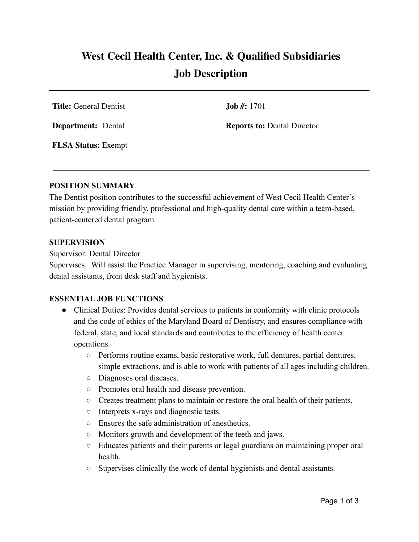# **West Cecil Health Center, Inc. & Qualified Subsidiaries Job Description**

**Title:** General Dentist **Job #:** 1701

**Department:** Dental **Reports to:** Dental Director

**FLSA Status:** Exempt

#### **POSITION SUMMARY**

The Dentist position contributes to the successful achievement of West Cecil Health Center's mission by providing friendly, professional and high-quality dental care within a team-based, patient-centered dental program.

#### **SUPERVISION**

Supervisor: Dental Director

Supervises: Will assist the Practice Manager in supervising, mentoring, coaching and evaluating dental assistants, front desk staff and hygienists.

### **ESSENTIAL JOB FUNCTIONS**

- Clinical Duties: Provides dental services to patients in conformity with clinic protocols and the code of ethics of the Maryland Board of Dentistry, and ensures compliance with federal, state, and local standards and contributes to the efficiency of health center operations.
	- Performs routine exams, basic restorative work, full dentures, partial dentures, simple extractions, and is able to work with patients of all ages including children.
	- Diagnoses oral diseases.
	- Promotes oral health and disease prevention.
	- Creates treatment plans to maintain or restore the oral health of their patients.
	- Interprets x-rays and diagnostic tests.
	- Ensures the safe administration of anesthetics.
	- Monitors growth and development of the teeth and jaws.
	- Educates patients and their parents or legal guardians on maintaining proper oral health.
	- Supervises clinically the work of dental hygienists and dental assistants.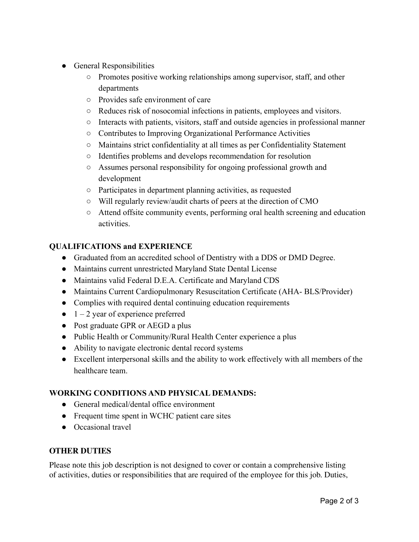- General Responsibilities
	- $\circ$  Promotes positive working relationships among supervisor, staff, and other departments
	- Provides safe environment of care
	- Reduces risk of nosocomial infections in patients, employees and visitors.
	- Interacts with patients, visitors, staff and outside agencies in professional manner
	- Contributes to Improving Organizational Performance Activities
	- Maintains strict confidentiality at all times as per Confidentiality Statement
	- Identifies problems and develops recommendation for resolution
	- Assumes personal responsibility for ongoing professional growth and development
	- Participates in department planning activities, as requested
	- Will regularly review/audit charts of peers at the direction of CMO
	- Attend offsite community events, performing oral health screening and education activities.

# **QUALIFICATIONS and EXPERIENCE**

- Graduated from an accredited school of Dentistry with a DDS or DMD Degree.
- Maintains current unrestricted Maryland State Dental License
- Maintains valid Federal D.E.A. Certificate and Maryland CDS
- Maintains Current Cardiopulmonary Resuscitation Certificate (AHA- BLS/Provider)
- Complies with required dental continuing education requirements
- $\bullet$  1 2 year of experience preferred
- Post graduate GPR or AEGD a plus
- Public Health or Community/Rural Health Center experience a plus
- Ability to navigate electronic dental record systems
- Excellent interpersonal skills and the ability to work effectively with all members of the healthcare team.

# **WORKING CONDITIONS AND PHYSICAL DEMANDS:**

- General medical/dental office environment
- Frequent time spent in WCHC patient care sites
- Occasional travel

## **OTHER DUTIES**

Please note this job description is not designed to cover or contain a comprehensive listing of activities, duties or responsibilities that are required of the employee for this job. Duties,